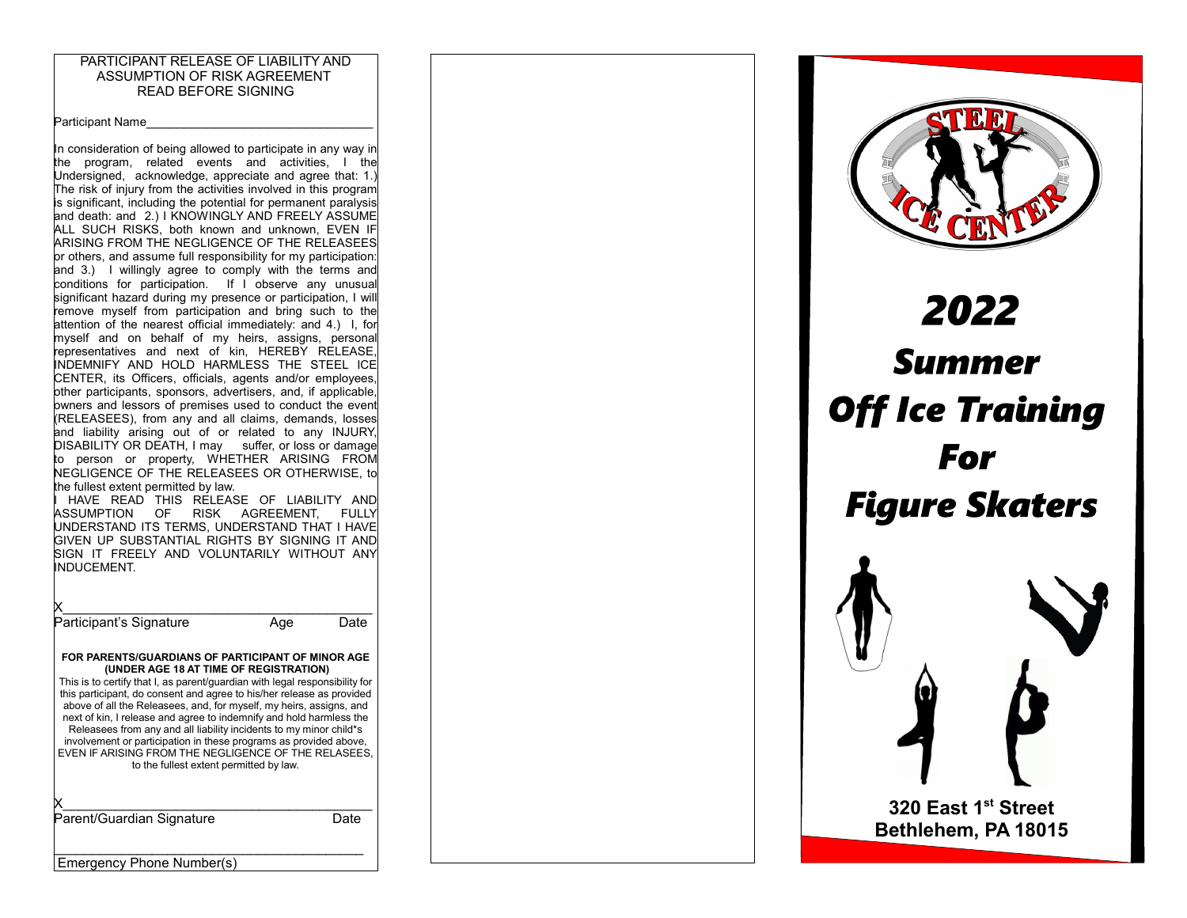### PARTICIPANT RELEASE OF LIABILITY AND ASSUMPTION OF RISK AGREEMENT READ BEFORE SIGNING

Participant Name

In consideration of being allowed to participate in any way in the program, related events and activities, I the Undersigned, acknowledge, appreciate and agree that: 1.) The risk of injury from the activities involved in this program is significant, including the potential for permanent paralysis and death: and 2.) I KNOWINGLY AND FREELY ASSUME ALL SUCH RISKS, both known and unknown, EVEN IF ARISING FROM THE NEGLIGENCE OF THE RELEASEES or others, and assume full responsibility for my participation: and 3.) I willingly agree to comply with the terms and conditions for participation. If I observe any unusual significant hazard during my presence or participation, I will remove myself from participation and bring such to the attention of the nearest official immediately: and 4.) I, for myself and on behalf of my heirs, assigns, personal representatives and next of kin, HEREBY RELEASE, INDEMNIFY AND HOLD HARMLESS THE STEEL ICE CENTER, its Officers, officials, agents and/or employees, other participants, sponsors, advertisers, and, if applicable, owners and lessors of premises used to conduct the event (RELEASEES), from any and all claims, demands, losses and liability arising out of or related to any INJURY, DISABILITY OR DEATH, I may suffer, or loss or damage to person or property, WHETHER ARISING FROM NEGLIGENCE OF THE RELEASEES OR OTHERWISE, to the fullest extent permitted by law. HAVE READ THIS RELEASE OF LIABILITY AND ASSUMPTION OF RISK AGREEMENT, FULLY UNDERSTAND ITS TERMS, UNDERSTAND THAT I HAVE GIVEN UP SUBSTANTIAL RIGHTS BY SIGNING IT AND SIGN IT FREELY AND VOLUNTARILY WITHOUT ANY INDUCEMENT.  $X_\perp$  , we have the set of the set of the set of the set of the set of the set of the set of the set of the set of the set of the set of the set of the set of the set of the set of the set of the set of the set of the se Participant's Signature **Age** Date

#### **FOR PARENTS/GUARDIANS OF PARTICIPANT OF MINOR AGE (UNDER AGE 18 AT TIME OF REGISTRATION)**

This is to certify that I, as parent/guardian with legal responsibility for this participant, do consent and agree to his/her release as provided above of all the Releasees, and, for myself, my heirs, assigns, and next of kin, I release and agree to indemnify and hold harmless the Releasees from any and all liability incidents to my minor child\*s involvement or participation in these programs as provided above, EVEN IF ARISING FROM THE NEGLIGENCE OF THE RELASEES, to the fullest extent permitted by law.

 $X_\perp$  , we have the set of the set of the set of the set of the set of the set of the set of the set of the set of the set of the set of the set of the set of the set of the set of the set of the set of the set of the se Parent/Guardian Signature **Date**  $\mathcal{L}_\text{max}$  and  $\mathcal{L}_\text{max}$  and  $\mathcal{L}_\text{max}$  and  $\mathcal{L}_\text{max}$ Emergency Phone Number(s)

# 2022 **Summer Off Ice Training For Figure Skaters**